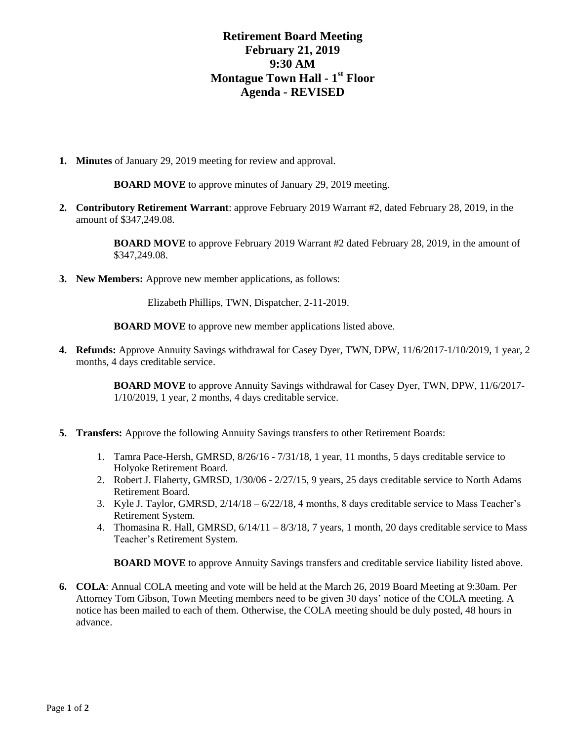## **Retirement Board Meeting February 21, 2019 9:30 AM Montague Town Hall - 1 st Floor Agenda - REVISED**

**1. Minutes** of January 29, 2019 meeting for review and approval.

**BOARD MOVE** to approve minutes of January 29, 2019 meeting.

**2. Contributory Retirement Warrant**: approve February 2019 Warrant #2, dated February 28, 2019, in the amount of \$347,249.08.

> **BOARD MOVE** to approve February 2019 Warrant #2 dated February 28, 2019, in the amount of \$347,249.08.

**3. New Members:** Approve new member applications, as follows:

Elizabeth Phillips, TWN, Dispatcher, 2-11-2019.

**BOARD MOVE** to approve new member applications listed above.

**4. Refunds:** Approve Annuity Savings withdrawal for Casey Dyer, TWN, DPW, 11/6/2017-1/10/2019, 1 year, 2 months, 4 days creditable service.

> **BOARD MOVE** to approve Annuity Savings withdrawal for Casey Dyer, TWN, DPW, 11/6/2017- 1/10/2019, 1 year, 2 months, 4 days creditable service.

- **5. Transfers:** Approve the following Annuity Savings transfers to other Retirement Boards:
	- 1. Tamra Pace-Hersh, GMRSD, 8/26/16 7/31/18, 1 year, 11 months, 5 days creditable service to Holyoke Retirement Board.
	- 2. Robert J. Flaherty, GMRSD, 1/30/06 2/27/15, 9 years, 25 days creditable service to North Adams Retirement Board.
	- 3. Kyle J. Taylor, GMRSD, 2/14/18 6/22/18, 4 months, 8 days creditable service to Mass Teacher's Retirement System.
	- 4. Thomasina R. Hall, GMRSD, 6/14/11 8/3/18, 7 years, 1 month, 20 days creditable service to Mass Teacher's Retirement System.

**BOARD MOVE** to approve Annuity Savings transfers and creditable service liability listed above.

**6. COLA**: Annual COLA meeting and vote will be held at the March 26, 2019 Board Meeting at 9:30am. Per Attorney Tom Gibson, Town Meeting members need to be given 30 days' notice of the COLA meeting. A notice has been mailed to each of them. Otherwise, the COLA meeting should be duly posted, 48 hours in advance.